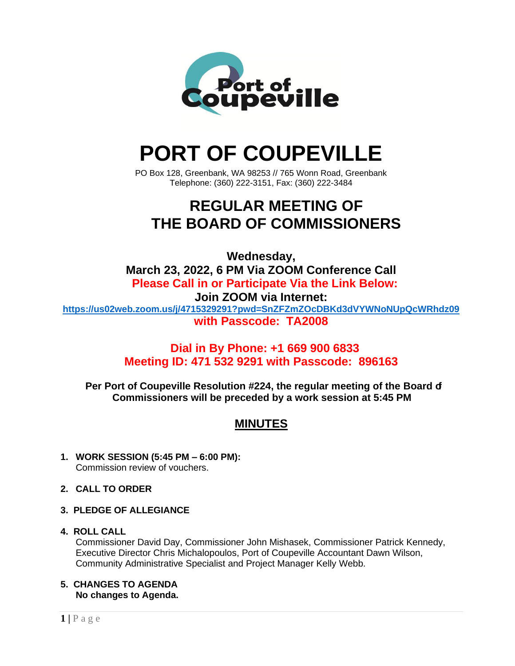

# **PORT OF COUPEVILLE**

PO Box 128, Greenbank, WA 98253 // 765 Wonn Road, Greenbank Telephone: (360) 222-3151, Fax: (360) 222-3484

# **REGULAR MEETING OF THE BOARD OF COMMISSIONERS**

**Wednesday, March 23, 2022, 6 PM Via ZOOM Conference Call Please Call in or Participate Via the Link Below: Join ZOOM via Internet: <https://us02web.zoom.us/j/4715329291?pwd=SnZFZmZOcDBKd3dVYWNoNUpQcWRhdz09> with Passcode: TA2008**

## **Dial in By Phone: +1 669 900 6833 Meeting ID: 471 532 9291 with Passcode: 896163**

**Per Port of Coupeville Resolution #224, the regular meeting of the Board of Commissioners will be preceded by a work session at 5:45 PM**

## **MINUTES**

- **1. WORK SESSION (5:45 PM – 6:00 PM):** Commission review of vouchers.
- **2. CALL TO ORDER**
- **3. PLEDGE OF ALLEGIANCE**

#### **4. ROLL CALL**

Commissioner David Day, Commissioner John Mishasek, Commissioner Patrick Kennedy, Executive Director Chris Michalopoulos, Port of Coupeville Accountant Dawn Wilson, Community Administrative Specialist and Project Manager Kelly Webb.

**5. CHANGES TO AGENDA No changes to Agenda.**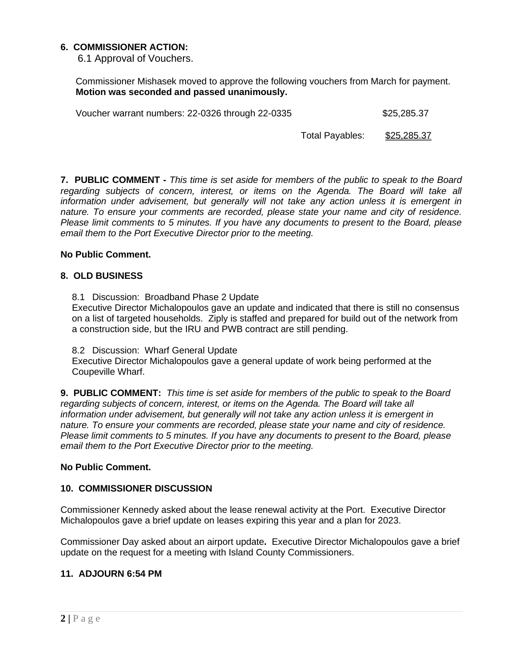#### **6. COMMISSIONER ACTION:**

6.1 Approval of Vouchers.

Commissioner Mishasek moved to approve the following vouchers from March for payment. **Motion was seconded and passed unanimously.**

Voucher warrant numbers: 22-0326 through 22-0335  $$25,285.37$ 

Total Payables: \$25,285.37

**7. PUBLIC COMMENT -** *This time is set aside for members of the public to speak to the Board regarding subjects of concern, interest, or items on the Agenda. The Board will take all information under advisement, but generally will not take any action unless it is emergent in nature. To ensure your comments are recorded, please state your name and city of residence. Please limit comments to 5 minutes. If you have any documents to present to the Board, please email them to the Port Executive Director prior to the meeting.*

#### **No Public Comment.**

#### **8. OLD BUSINESS**

8.1 Discussion: Broadband Phase 2 Update

Executive Director Michalopoulos gave an update and indicated that there is still no consensus on a list of targeted households. Ziply is staffed and prepared for build out of the network from a construction side, but the IRU and PWB contract are still pending.

8.2 Discussion: Wharf General Update

Executive Director Michalopoulos gave a general update of work being performed at the Coupeville Wharf.

**9. PUBLIC COMMENT:** *This time is set aside for members of the public to speak to the Board regarding subjects of concern, interest, or items on the Agenda. The Board will take all information under advisement, but generally will not take any action unless it is emergent in nature. To ensure your comments are recorded, please state your name and city of residence. Please limit comments to 5 minutes. If you have any documents to present to the Board, please email them to the Port Executive Director prior to the meeting.*

#### **No Public Comment.**

#### **10. COMMISSIONER DISCUSSION**

Commissioner Kennedy asked about the lease renewal activity at the Port. Executive Director Michalopoulos gave a brief update on leases expiring this year and a plan for 2023.

Commissioner Day asked about an airport update**.** Executive Director Michalopoulos gave a brief update on the request for a meeting with Island County Commissioners.

#### **11. ADJOURN 6:54 PM**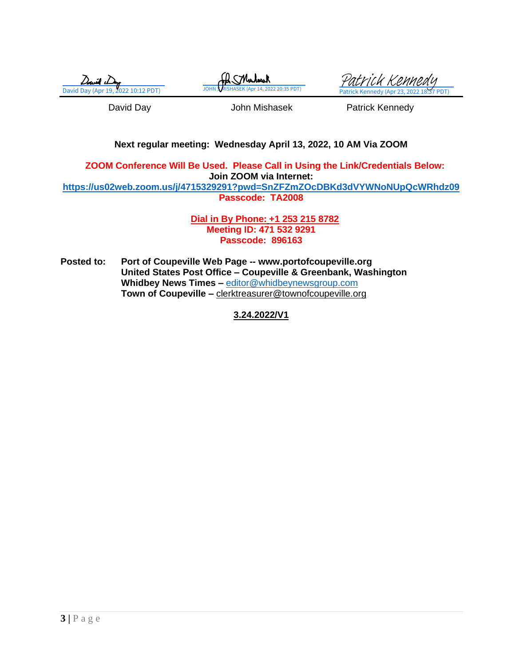David Do





David Day **David Day** John Mishasek **Patrick Kennedy** 

#### **Next regular meeting: Wednesday April 13, 2022, 10 AM Via ZOOM**

**ZOOM Conference Will Be Used. Please Call in Using the Link/Credentials Below: Join ZOOM via Internet: <https://us02web.zoom.us/j/4715329291?pwd=SnZFZmZOcDBKd3dVYWNoNUpQcWRhdz09> Passcode: TA2008**

> **Dial in By Phone: +1 253 215 8782 Meeting ID: 471 532 9291 Passcode: 896163**

**Posted to: Port of Coupeville Web Page -- www.portofcoupeville.org United States Post Office – Coupeville & Greenbank, Washington Whidbey News Times –** [editor@whidbeynewsgroup.com](mailto:editor@whidbeynewsgroup.com) **Town of Coupeville –** [clerktreasurer@townofcoupeville.org](mailto:clerktreasurer@townofcoupeville.org)

**3.24.2022/V1**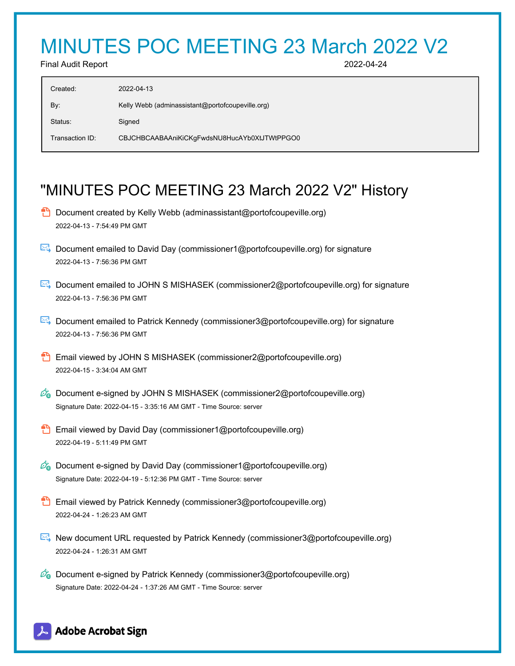# MINUTES POC MEETING 23 March 2022 V2

Final Audit Report 2022-04-24

| Created:        | 2022-04-13                                       |
|-----------------|--------------------------------------------------|
| By:             | Kelly Webb (adminassistant@portofcoupeville.org) |
| Status:         | Signed                                           |
| Transaction ID: | CBJCHBCAABAAniKiCKgFwdsNU8HucAYb0XtJTWtPPGO0     |

## "MINUTES POC MEETING 23 March 2022 V2" History

- **D** Document created by Kelly Webb (adminassistant@portofcoupeville.org) 2022-04-13 - 7:54:49 PM GMT
- Document emailed to David Day (commissioner1@portofcoupeville.org) for signature 2022-04-13 - 7:56:36 PM GMT
- Document emailed to JOHN S MISHASEK (commissioner2@portofcoupeville.org) for signature 2022-04-13 - 7:56:36 PM GMT
- Document emailed to Patrick Kennedy (commissioner3@portofcoupeville.org) for signature 2022-04-13 - 7:56:36 PM GMT
- **Email viewed by JOHN S MISHASEK (commissioner2@portofcoupeville.org)** 2022-04-15 - 3:34:04 AM GMT
- $\mathcal{O}_0$  Document e-signed by JOHN S MISHASEK (commissioner2@portofcoupeville.org) Signature Date: 2022-04-15 - 3:35:16 AM GMT - Time Source: server
- **Email viewed by David Day (commissioner1@portofcoupeville.org)** 2022-04-19 - 5:11:49 PM GMT
- $\mathscr{O}_\bullet$  Document e-signed by David Day (commissioner1@portofcoupeville.org) Signature Date: 2022-04-19 - 5:12:36 PM GMT - Time Source: server
- **Email viewed by Patrick Kennedy (commissioner3@portofcoupeville.org)** 2022-04-24 - 1:26:23 AM GMT
- New document URL requested by Patrick Kennedy (commissioner3@portofcoupeville.org) 2022-04-24 - 1:26:31 AM GMT
- $\mathcal{O}_0$  Document e-signed by Patrick Kennedy (commissioner3@portofcoupeville.org) Signature Date: 2022-04-24 - 1:37:26 AM GMT - Time Source: server

## **Adobe Acrobat Sign**